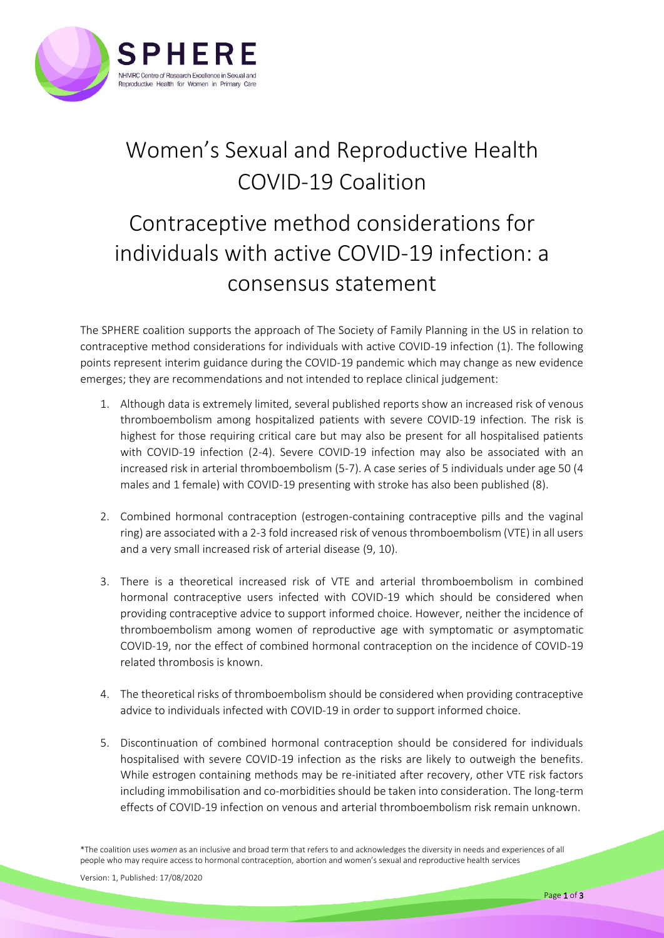

## Women's Sexual and Reproductive Health COVID-19 Coalition

## Contraceptive method considerations for individuals with active COVID-19 infection: a consensus statement

The SPHERE coalition supports the approach of The Society of Family Planning in the US in relation to contraceptive method considerations for individuals with active COVID-19 infection (1). The following points represent interim guidance during the COVID-19 pandemic which may change as new evidence emerges; they are recommendations and not intended to replace clinical judgement:

- 1. Although data is extremely limited, several published reports show an increased risk of venous thromboembolism among hospitalized patients with severe COVID-19 infection. The risk is highest for those requiring critical care but may also be present for all hospitalised patients with COVID-19 infection (2-4). Severe COVID-19 infection may also be associated with an increased risk in arterial thromboembolism (5-7). A case series of 5 individuals under age 50 (4 males and 1 female) with COVID-19 presenting with stroke has also been published (8).
- 2. Combined hormonal contraception (estrogen-containing contraceptive pills and the vaginal ring) are associated with a 2-3 fold increased risk of venous thromboembolism (VTE) in all users and a very small increased risk of arterial disease (9, 10).
- 3. There is a theoretical increased risk of VTE and arterial thromboembolism in combined hormonal contraceptive users infected with COVID-19 which should be considered when providing contraceptive advice to support informed choice. However, neither the incidence of thromboembolism among women of reproductive age with symptomatic or asymptomatic COVID-19, nor the effect of combined hormonal contraception on the incidence of COVID-19 related thrombosis is known.
- 4. The theoretical risks of thromboembolism should be considered when providing contraceptive advice to individuals infected with COVID-19 in order to support informed choice.
- 5. Discontinuation of combined hormonal contraception should be considered for individuals hospitalised with severe COVID-19 infection as the risks are likely to outweigh the benefits. While estrogen containing methods may be re-initiated after recovery, other VTE risk factors including immobilisation and co-morbidities should be taken into consideration. The long-term effects of COVID-19 infection on venous and arterial thromboembolism risk remain unknown.

\*The coalition uses *women* as an inclusive and broad term that refers to and acknowledges the diversity in needs and experiences of all people who may require access to hormonal contraception, abortion and women's sexual and reproductive health services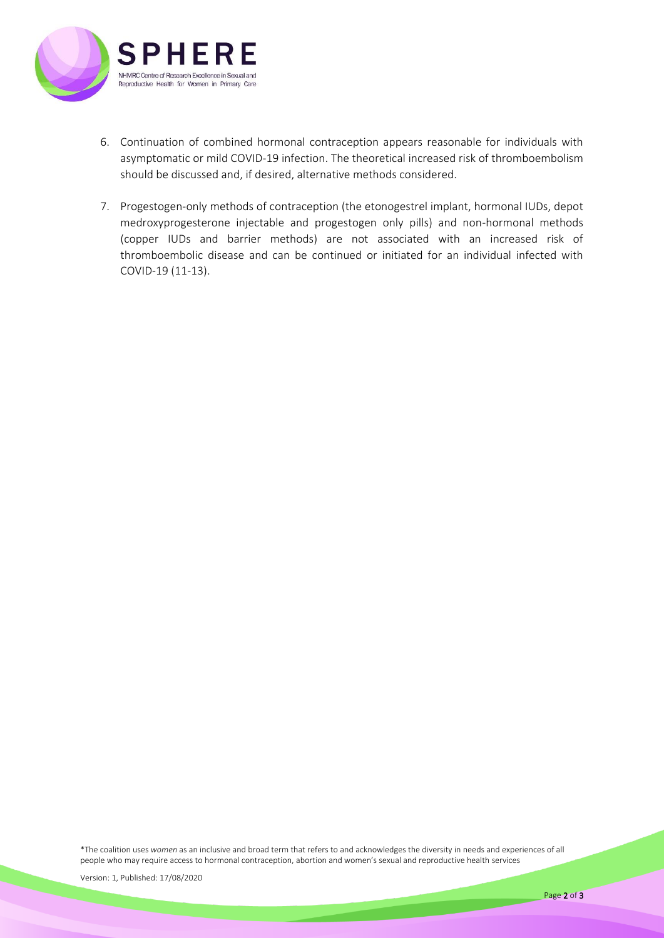

- 6. Continuation of combined hormonal contraception appears reasonable for individuals with asymptomatic or mild COVID-19 infection. The theoretical increased risk of thromboembolism should be discussed and, if desired, alternative methods considered.
- 7. Progestogen-only methods of contraception (the etonogestrel implant, hormonal IUDs, depot medroxyprogesterone injectable and progestogen only pills) and non-hormonal methods (copper IUDs and barrier methods) are not associated with an increased risk of thromboembolic disease and can be continued or initiated for an individual infected with COVID-19 (11-13).

\*The coalition uses *women* as an inclusive and broad term that refers to and acknowledges the diversity in needs and experiences of all people who may require access to hormonal contraception, abortion and women's sexual and reproductive health services